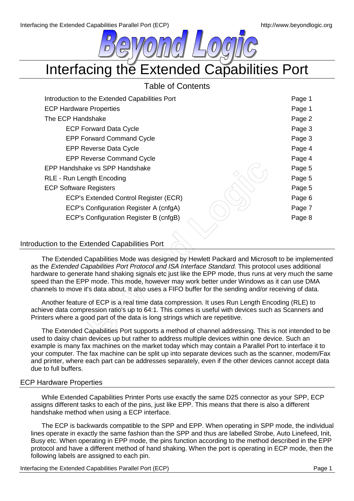

Interfacing the Extended Capabilities Port

# Table of Contents

| Introduction to the Extended Capabilities Port                                                                                                                                                                                                                                                                                                                                                                                                                                                                   | Page 1 |
|------------------------------------------------------------------------------------------------------------------------------------------------------------------------------------------------------------------------------------------------------------------------------------------------------------------------------------------------------------------------------------------------------------------------------------------------------------------------------------------------------------------|--------|
| <b>ECP Hardware Properties</b>                                                                                                                                                                                                                                                                                                                                                                                                                                                                                   | Page 1 |
| The ECP Handshake                                                                                                                                                                                                                                                                                                                                                                                                                                                                                                | Page 2 |
| <b>ECP Forward Data Cycle</b>                                                                                                                                                                                                                                                                                                                                                                                                                                                                                    | Page 3 |
| <b>EPP Forward Command Cycle</b>                                                                                                                                                                                                                                                                                                                                                                                                                                                                                 | Page 3 |
| <b>EPP Reverse Data Cycle</b>                                                                                                                                                                                                                                                                                                                                                                                                                                                                                    | Page 4 |
| <b>EPP Reverse Command Cycle</b>                                                                                                                                                                                                                                                                                                                                                                                                                                                                                 | Page 4 |
| EPP Handshake vs SPP Handshake                                                                                                                                                                                                                                                                                                                                                                                                                                                                                   | Page 5 |
| <b>RLE - Run Length Encoding</b>                                                                                                                                                                                                                                                                                                                                                                                                                                                                                 | Page 5 |
| <b>ECP Software Registers</b>                                                                                                                                                                                                                                                                                                                                                                                                                                                                                    | Page 5 |
| ECP's Extended Control Register (ECR)                                                                                                                                                                                                                                                                                                                                                                                                                                                                            | Page 6 |
| ECP's Configuration Register A (cnfgA)                                                                                                                                                                                                                                                                                                                                                                                                                                                                           | Page 7 |
| ECP's Configuration Register B (cnfgB)                                                                                                                                                                                                                                                                                                                                                                                                                                                                           | Page 8 |
| Introduction to the Extended Capabilities Port                                                                                                                                                                                                                                                                                                                                                                                                                                                                   |        |
|                                                                                                                                                                                                                                                                                                                                                                                                                                                                                                                  |        |
| The Extended Capabilities Mode was designed by Hewlett Packard and Microsoft to be impleme<br>as the Extended Capabilities Port Protocol and ISA Interface Standard. This protocol uses additiona<br>hardware to generate hand shaking signals etc just like the EPP mode, thus runs at very much the s<br>speed than the EPP mode. This mode, however may work better under Windows as it can use DMA<br>channels to move it's data about. It also uses a FIFO buffer for the sending and/or receiving of data. |        |
| Another feature of ECP is a real time data compression. It uses Run Length Encoding (RLE) to<br>achieve data compression ratio's up to 64:1. This comes is useful with devices such as Scanners are<br>Printers where a good part of the data is long strings which are repetitive.                                                                                                                                                                                                                              |        |
| The Extended Capabilities Port supports a method of channel addressing. This is not intended to<br>used to daisy chain devices un but rather to address multiple devices within one device. Such an                                                                                                                                                                                                                                                                                                              |        |

The Extended Capabilities Mode was designed by Hewlett Packard and Microsoft to be implemented as the Extended Capabilities Port Protocol and ISA Interface Standard. This protocol uses additional hardware to generate hand shaking signals etc just like the EPP mode, thus runs at very much the same speed than the EPP mode. This mode, however may work better under Windows as it can use DMA channels to move it's data about. It also uses a FIFO buffer for the sending and/or receiving of data.

The Extended Capabilities Port supports a method of channel addressing. This is not intended to be used to daisy chain devices up but rather to address multiple devices within one device. Such an example is many fax machines on the market today which may contain a Parallel Port to interface it to your computer. The fax machine can be split up into separate devices such as the scanner, modem/Fax and printer, where each part can be addresses separately, even if the other devices cannot accept data due to full buffers.

## ECP Hardware Properties

While Extended Capabilities Printer Ports use exactly the same D25 connector as your SPP, ECP assigns different tasks to each of the pins, just like EPP. This means that there is also a different handshake method when using a ECP interface.

The ECP is backwards compatible to the SPP and EPP. When operating in SPP mode, the individual lines operate in exactly the same fashion than the SPP and thus are labelled Strobe, Auto Linefeed, Init, Busy etc. When operating in EPP mode, the pins function according to the method described in the EPP protocol and have a different method of hand shaking. When the port is operating in ECP mode, then the following labels are assigned to each pin.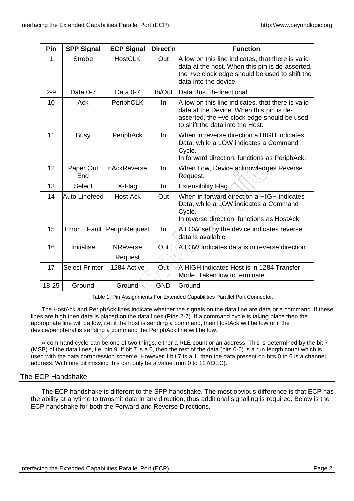| Pin                                                                                                                                                                                                                                                                                                                                                                                             | <b>SPP Signal</b>                                                           | <b>ECP Signal</b>          | Direct'n | <b>Function</b>                                                                                                                                                                  |
|-------------------------------------------------------------------------------------------------------------------------------------------------------------------------------------------------------------------------------------------------------------------------------------------------------------------------------------------------------------------------------------------------|-----------------------------------------------------------------------------|----------------------------|----------|----------------------------------------------------------------------------------------------------------------------------------------------------------------------------------|
| 1                                                                                                                                                                                                                                                                                                                                                                                               | <b>Strobe</b>                                                               | <b>HostCLK</b>             | Out      | A low on this line indicates, that there is valid<br>data at the host. When this pin is de-asserted,<br>the +ve clock edge should be used to shift the<br>data into the device.  |
| $2 - 9$                                                                                                                                                                                                                                                                                                                                                                                         | Data 0-7                                                                    | Data 0-7                   | In/Out   | Data Bus, Bi-directional                                                                                                                                                         |
| 10                                                                                                                                                                                                                                                                                                                                                                                              | Ack                                                                         | <b>PeriphCLK</b>           | In       | A low on this line indicates, that there is valid<br>data at the Device. When this pin is de-<br>asserted, the +ve clock edge should be used<br>to shift the data into the Host. |
| 11                                                                                                                                                                                                                                                                                                                                                                                              | <b>Busy</b>                                                                 | PeriphAck                  | In       | When in reverse direction a HIGH indicates<br>Data, while a LOW indicates a Command<br>Cycle.<br>In forward direction, functions as PeriphAck.                                   |
| 12                                                                                                                                                                                                                                                                                                                                                                                              | Paper Out<br>End                                                            | nAckReverse                | In       | When Low, Device acknowledges Reverse<br>Request.                                                                                                                                |
| 13                                                                                                                                                                                                                                                                                                                                                                                              | <b>Select</b>                                                               | X-Flag                     | In       | <b>Extensibility Flag</b>                                                                                                                                                        |
| 14                                                                                                                                                                                                                                                                                                                                                                                              | Auto Linefeed                                                               | <b>Host Ack</b>            | Out      | When in forward direction a HIGH indicates<br>Data, while a LOW indicates a Command<br>Cycle.<br>In reverse direction, functions as HostAck.                                     |
| 15                                                                                                                                                                                                                                                                                                                                                                                              | Error                                                                       | Fault   PeriphRequest      | In       | A LOW set by the device indicates reverse<br>data is available                                                                                                                   |
| 16                                                                                                                                                                                                                                                                                                                                                                                              | Initialise                                                                  | <b>NReverse</b><br>Request | Out      | ALOW indicates data is in reverse direction                                                                                                                                      |
| 17                                                                                                                                                                                                                                                                                                                                                                                              | <b>Select Printer</b>                                                       | 1284 Active                | Out      | A HIGH indicates Host is in 1284 Transfer<br>Mode. Taken low to terminate.                                                                                                       |
| 18-25                                                                                                                                                                                                                                                                                                                                                                                           | Ground                                                                      | Ground                     | GND      | Ground                                                                                                                                                                           |
|                                                                                                                                                                                                                                                                                                                                                                                                 | Table 1. Pin Assignments For Extended Capabilities Parallel Port Connector. |                            |          |                                                                                                                                                                                  |
| The HostAck and PeriphAck lines indicate whether the signals on the data line are data or a command.<br>s are high then data is placed on the data lines (Pins 2-7). If a command cycle is taking place then the<br>ropriate line will be low, i.e, if the host is sending a command, then HostAck will be low or if the<br>ice/peripheral is sending a command the PeriphAck line will be low. |                                                                             |                            |          |                                                                                                                                                                                  |

The HostAck and PeriphAck lines indicate whether the signals on the data line are data or a command. If these lines are high then data is placed on the data lines (Pins 2-7). If a command cycle is taking place then the appropriate line will be low, i.e. if the host is sending a command, then HostAck will be low or if the device/peripheral is sending a command the PeriphAck line will be low.

A command cycle can be one of two things, either a RLE count or an address. This is determined by the bit 7 (MSB) of the data lines, i.e. pin 9. If bit 7 is a 0, then the rest of the data (bits 0-6) is a run length count which is used with the data compression scheme. However if bit 7 is a 1, then the data present on bits 0 to 6 is a channel address. With one bit missing this can only be a value from 0 to 127(DEC).

## The ECP Handshake

The ECP handshake is different to the SPP handshake. The most obvious difference is that ECP has the ability at anytime to transmit data in any direction, thus additional signalling is required. Below is the ECP handshake for both the Forward and Reverse Directions.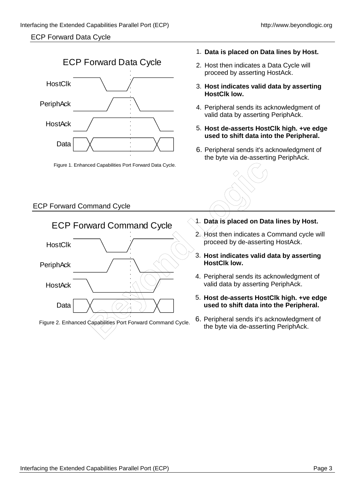## ECP Forward Data Cycle



Figure 1. Enhanced Capabilities Port Forward Data Cycle.

# ECP Forward Command Cycle



# 1. **Data is placed on Data lines by Host.**

- 2. Host then indicates a Data Cycle will proceed by asserting HostAck.
- 3. **Host indicates valid data by asserting HostClk low.**
- 4. Peripheral sends its acknowledgment of valid data by asserting PeriphAck.
- 5. **Host de-asserts HostClk high. +ve edge used to shift data into the Peripheral.**
- 6. Peripheral sends it's acknowledgment of the byte via de-asserting PeriphAck.



- 1. **Data is placed on Data lines by Host.**
- 2. Host then indicates a Command cycle will proceed by de-asserting HostAck.
- 3. **Host indicates valid data by asserting HostClk low.**
- 4. Peripheral sends its acknowledgment of valid data by asserting PeriphAck.
- 5. **Host de-asserts HostClk high. +ve edge used to shift data into the Peripheral.**
- 6. Peripheral sends it's acknowledgment of the byte via de-asserting PeriphAck.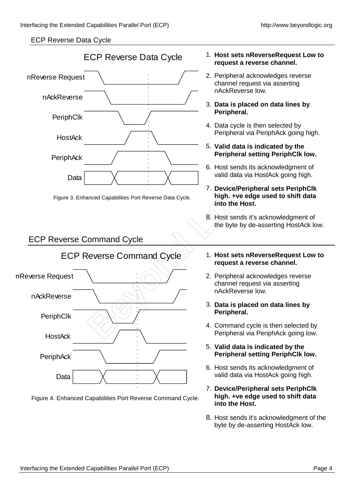## ECP Reverse Data Cycle



Figure 4. Enhanced Capabilities Port Reverse Command Cycle.

#### 1. **Host sets nReverseRequest Low to request a reverse channel.**

- 2. Peripheral acknowledges reverse channel request via asserting nAckReverse low.
- 3. **Data is placed on data lines by Peripheral.**
- 4. Data cycle is then selected by Peripheral via PeriphAck going high.
- 5. **Valid data is indicated by the Peripheral setting PeriphClk low.**
- 6. Host sends its acknowledgment of valid data via HostAck going high.
- 7. **Device/Peripheral sets PeriphClk high. +ve edge used to shift data into the Host.**
- 8. Host sends it's acknowledgment of the byte by de-asserting HostAck low.
- 1. **Host sets nReverseRequest Low to request a reverse channel.**
- 2. Peripheral acknowledges reverse channel request via asserting nAckReverse low.
- 3. **Data is placed on data lines by Peripheral.**
- 4. Command cycle is then selected by Peripheral via PeriphAck going low.
- 5. **Valid data is indicated by the Peripheral setting PeriphClk low.**
- 6. Host sends its acknowledgment of valid data via HostAck going high.
- 7. **Device/Peripheral sets PeriphClk high. +ve edge used to shift data into the Host.**
- 8. Host sends it's acknowledgment of the byte by de-asserting HostAck low.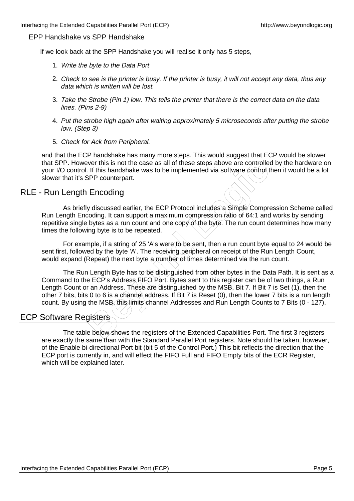#### EPP Handshake vs SPP Handshake

If we look back at the SPP Handshake you will realise it only has 5 steps,

- 1. Write the byte to the Data Port
- 2. Check to see is the printer is busy. If the printer is busy, it will not accept any data, thus any data which is written will be lost.
- 3. Take the Strobe (Pin 1) low. This tells the printer that there is the correct data on the data lines. (Pins 2-9)
- 4. Put the strobe high again after waiting approximately 5 microseconds after putting the strobe low. (Step 3)
- 5. Check for Ack from Peripheral.

and that the ECP handshake has many more steps. This would suggest that ECP would be slower that SPP. However this is not the case as all of these steps above are controlled by the hardware on your I/O control. If this handshake was to be implemented via software control then it would be a lot slower that it's SPP counterpart.

# RLE - Run Length Encoding

As briefly discussed earlier, the ECP Protocol includes a Simple Compression Scheme called Run Length Encoding. It can support a maximum compression ratio of 64:1 and works by sending repetitive single bytes as a run count and one copy of the byte. The run count determines how many times the following byte is to be repeated.

For example, if a string of 25 'A's were to be sent, then a run count byte equal to 24 would be sent first, followed by the byte 'A'. The receiving peripheral on receipt of the Run Length Count, would expand (Repeat) the next byte a number of times determined via the run count.

From this is not the case as all of these steps above are controller<br>
If this handshake was to be implemented via software control to the<br>
BPP counterpart.<br> **Encoding**<br> **BER conterpart.**<br> **BER conterpart.**<br> **BER conterpart** The Run Length Byte has to be distinguished from other bytes in the Data Path. It is sent as a Command to the ECP's Address FIFO Port. Bytes sent to this register can be of two things, a Run Length Count or an Address. These are distinguished by the MSB, Bit 7. If Bit 7 is Set (1), then the other 7 bits, bits 0 to 6 is a channel address. If Bit 7 is Reset (0), then the lower 7 bits is a run length count. By using the MSB, this limits channel Addresses and Run Length Counts to 7 Bits (0 - 127).

# ECP Software Registers

The table below shows the registers of the Extended Capabilities Port. The first 3 registers are exactly the same than with the Standard Parallel Port registers. Note should be taken, however, of the Enable bi-directional Port bit (bit 5 of the Control Port.) This bit reflects the direction that the ECP port is currently in, and will effect the FIFO Full and FIFO Empty bits of the ECR Register, which will be explained later.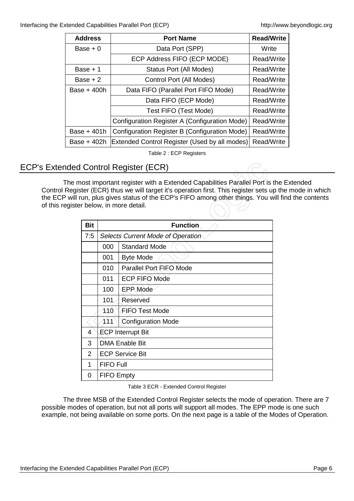Interfacing the Extended Capabilities Parallel Port (ECP) http://www.beyondlogic.org

| <b>Address</b> | <b>Port Name</b>                              | <b>Read/Write</b> |
|----------------|-----------------------------------------------|-------------------|
| Base $+0$      | Data Port (SPP)                               | Write             |
|                | ECP Address FIFO (ECP MODE)                   | Read/Write        |
| Base + 1       | <b>Status Port (All Modes)</b>                | Read/Write        |
| Base $+2$      | Control Port (All Modes)                      | Read/Write        |
| Base + 400h    | Data FIFO (Parallel Port FIFO Mode)           | Read/Write        |
|                | Data FIFO (ECP Mode)                          | Read/Write        |
|                | Test FIFO (Test Mode)                         | Read/Write        |
|                | Configuration Register A (Configuration Mode) | Read/Write        |
| Base + 401h    | Configuration Register B (Configuration Mode) | Read/Write        |
| Base + 402h    | Extended Control Register (Used by all modes) | Read/Write        |

Table 2 : ECP Registers

# ECP's Extended Control Register (ECR)

The most important register with a Extended Capabilities Parallel Port is the Extended Control Register (ECR) thus we will target it's operation first. This register sets up the mode in which the ECP will run, plus gives status of the ECP's FIFO among other things. You will find the contents of this register below, in more detail.

|                |                        | <b>Control Register (ECR)</b>                                                                                                                                                                                                                            |  |
|----------------|------------------------|----------------------------------------------------------------------------------------------------------------------------------------------------------------------------------------------------------------------------------------------------------|--|
|                |                        | nost important register with a Extended Capabilities Parallel Port is t<br>ster (ECR) thus we will target it's operation first. This register sets ur<br>run, plus gives status of the ECP's FIFO among other things. You w<br>er below, in more detail. |  |
| <b>Bit</b>     |                        | <b>Function</b>                                                                                                                                                                                                                                          |  |
| 7:5            |                        | Selects Current Mode of Operation                                                                                                                                                                                                                        |  |
|                | 000                    | <b>Standard Mode</b>                                                                                                                                                                                                                                     |  |
|                | 001                    | <b>Byte Mode</b>                                                                                                                                                                                                                                         |  |
|                | 010                    | Parallel Port FIFO Mode                                                                                                                                                                                                                                  |  |
|                | 011                    | ECP FIFO Mode                                                                                                                                                                                                                                            |  |
|                | 100                    | <b>EPP Mode</b>                                                                                                                                                                                                                                          |  |
|                | 101                    | Reserved                                                                                                                                                                                                                                                 |  |
|                | 110                    | (FIFO Test Mode                                                                                                                                                                                                                                          |  |
|                | 111                    | <b>Configuration Mode</b>                                                                                                                                                                                                                                |  |
| 4              |                        | ECP Interrupt Bit                                                                                                                                                                                                                                        |  |
| 3              | <b>DMA Enable Bit</b>  |                                                                                                                                                                                                                                                          |  |
| $\overline{2}$ | <b>ECP Service Bit</b> |                                                                                                                                                                                                                                                          |  |
| 1              | <b>FIFO Full</b>       |                                                                                                                                                                                                                                                          |  |
| 0              | <b>FIFO Empty</b>      |                                                                                                                                                                                                                                                          |  |

Table 3 ECR - Extended Control Register

The three MSB of the Extended Control Register selects the mode of operation. There are 7 possible modes of operation, but not all ports will support all modes. The EPP mode is one such example, not being available on some ports. On the next page is a table of the Modes of Operation.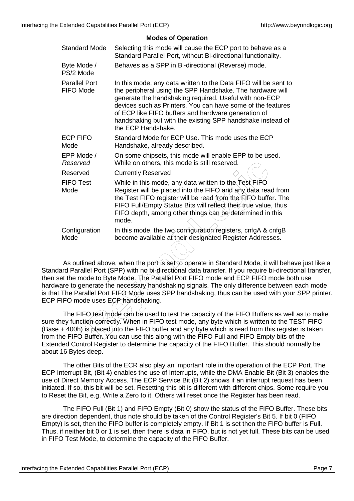|                                   | <b>Modes of Operation</b>                                                                                                                                                                                                                                                                                                                                                                                                                                                                                                                                                                                                                                                                                                                                                                                                            |
|-----------------------------------|--------------------------------------------------------------------------------------------------------------------------------------------------------------------------------------------------------------------------------------------------------------------------------------------------------------------------------------------------------------------------------------------------------------------------------------------------------------------------------------------------------------------------------------------------------------------------------------------------------------------------------------------------------------------------------------------------------------------------------------------------------------------------------------------------------------------------------------|
| <b>Standard Mode</b>              | Selecting this mode will cause the ECP port to behave as a<br>Standard Parallel Port, without Bi-directional functionality.                                                                                                                                                                                                                                                                                                                                                                                                                                                                                                                                                                                                                                                                                                          |
| Byte Mode /<br>PS/2 Mode          | Behaves as a SPP in Bi-directional (Reverse) mode.                                                                                                                                                                                                                                                                                                                                                                                                                                                                                                                                                                                                                                                                                                                                                                                   |
| <b>Parallel Port</b><br>FIFO Mode | In this mode, any data written to the Data FIFO will be sent to<br>the peripheral using the SPP Handshake. The hardware will<br>generate the handshaking required. Useful with non-ECP<br>devices such as Printers. You can have some of the features<br>of ECP like FIFO buffers and hardware generation of<br>handshaking but with the existing SPP handshake instead of<br>the ECP Handshake.                                                                                                                                                                                                                                                                                                                                                                                                                                     |
| <b>ECP FIFO</b><br>Mode           | Standard Mode for ECP Use. This mode uses the ECP<br>Handshake, already described.                                                                                                                                                                                                                                                                                                                                                                                                                                                                                                                                                                                                                                                                                                                                                   |
| EPP Mode /<br>Reserved            | On some chipsets, this mode will enable EPP to be used.<br>While on others, this mode is still reserved.                                                                                                                                                                                                                                                                                                                                                                                                                                                                                                                                                                                                                                                                                                                             |
| Reserved                          | <b>Currently Reserved</b>                                                                                                                                                                                                                                                                                                                                                                                                                                                                                                                                                                                                                                                                                                                                                                                                            |
| <b>FIFO Test</b><br>Mode          | While in this mode, any data written to the Test FIFO<br>Register will be placed into the FIFO and any data read from<br>the Test FIFO register will be read from the FIFO buffer. The<br>FIFO Full/Empty Status Bits will reflect their true value, thus<br>FIFO depth, among other things can be determined in this<br>mode.                                                                                                                                                                                                                                                                                                                                                                                                                                                                                                       |
| Configuration<br>Mode             | In this mode, the two configuration registers, cnfgA & cnfgB<br>become available at their designated Register Addresses.                                                                                                                                                                                                                                                                                                                                                                                                                                                                                                                                                                                                                                                                                                             |
|                                   |                                                                                                                                                                                                                                                                                                                                                                                                                                                                                                                                                                                                                                                                                                                                                                                                                                      |
|                                   | As outlined above, when the port is set to operate in Standard Mode, it will behave<br>ard Parallel Port (SPP) with no bi-directional data transfer. If you require bi-directior<br>et the mode to Byte Mode. The Parallel Port FIFO mode and ECP FIFO mode both<br>are to generate the necessary handshaking signals. The only difference between ea<br>The Parallel Port FIFO Mode uses SPP handshaking, thus can be used with your S<br>IFO mode uses ECP handshaking.<br>The FIFO test mode can be used to test the capacity of the FIFO Buffers as well a<br>ey functión correctly. When in FIFO test mode, any byte which is written to the TES<br>+ 400h) is placed into the FIFO buffer and any byte which is read from this register<br>ie FIFO Buffer. You can use this along with the FIFO Full and FIFO Empty bits of th |

As outlined above, when the port is set to operate in Standard Mode, it will behave just like a Standard Parallel Port (SPP) with no bi-directional data transfer. If you require bi-directional transfer, then set the mode to Byte Mode. The Parallel Port FIFO mode and ECP FIFO mode both use hardware to generate the necessary handshaking signals. The only difference between each mode is that The Parallel Port FIFO Mode uses SPP handshaking, thus can be used with your SPP printer. ECP FIFO mode uses ECP handshaking.

The FIFO test mode can be used to test the capacity of the FIFO Buffers as well as to make sure they function correctly. When in FIFO test mode, any byte which is written to the TEST FIFO (Base + 400h) is placed into the FIFO buffer and any byte which is read from this register is taken from the FIFO Buffer. You can use this along with the FIFO Full and FIFO Empty bits of the Extended Control Register to determine the capacity of the FIFO Buffer. This should normally be about 16 Bytes deep.

The other Bits of the ECR also play an important role in the operation of the ECP Port. The ECP Interrupt Bit, (Bit 4) enables the use of Interrupts, while the DMA Enable Bit (Bit 3) enables the use of Direct Memory Access. The ECP Service Bit (Bit 2) shows if an interrupt request has been initiated. If so, this bit will be set. Resetting this bit is different with different chips. Some require you to Reset the Bit, e.g. Write a Zero to it. Others will reset once the Register has been read.

The FIFO Full (Bit 1) and FIFO Empty (Bit 0) show the status of the FIFO Buffer. These bits are direction dependent, thus note should be taken of the Control Register's Bit 5. If bit 0 (FIFO Empty) is set, then the FIFO buffer is completely empty. If Bit 1 is set then the FIFO buffer is Full. Thus, if neither bit 0 or 1 is set, then there is data in FIFO, but is not yet full. These bits can be used in FIFO Test Mode, to determine the capacity of the FIFO Buffer.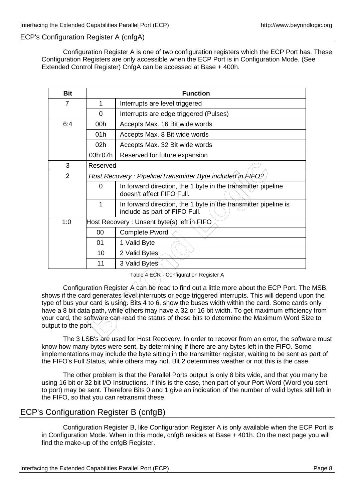## ECP's Configuration Register A (cnfgA)

Configuration Register A is one of two configuration registers which the ECP Port has. These Configuration Registers are only accessible when the ECP Port is in Configuration Mode. (See Extended Control Register) CnfgA can be accessed at Base + 400h.

| <b>Bit</b>                                                                                                      |              | <b>Function</b>                                                                                                                                                                                                                                                                                                                                                                                                                                                                                                         |
|-----------------------------------------------------------------------------------------------------------------|--------------|-------------------------------------------------------------------------------------------------------------------------------------------------------------------------------------------------------------------------------------------------------------------------------------------------------------------------------------------------------------------------------------------------------------------------------------------------------------------------------------------------------------------------|
| $\overline{7}$                                                                                                  | $\mathbf 1$  | Interrupts are level triggered                                                                                                                                                                                                                                                                                                                                                                                                                                                                                          |
|                                                                                                                 | 0            | Interrupts are edge triggered (Pulses)                                                                                                                                                                                                                                                                                                                                                                                                                                                                                  |
| 6:4                                                                                                             | 00h          | Accepts Max. 16 Bit wide words                                                                                                                                                                                                                                                                                                                                                                                                                                                                                          |
|                                                                                                                 | 01h          | Accepts Max. 8 Bit wide words                                                                                                                                                                                                                                                                                                                                                                                                                                                                                           |
|                                                                                                                 | 02h          | Accepts Max. 32 Bit wide words                                                                                                                                                                                                                                                                                                                                                                                                                                                                                          |
|                                                                                                                 | 03h:07h      | Reserved for future expansion                                                                                                                                                                                                                                                                                                                                                                                                                                                                                           |
| 3                                                                                                               | Reserved     |                                                                                                                                                                                                                                                                                                                                                                                                                                                                                                                         |
| $\overline{2}$                                                                                                  |              | Host Recovery: Pipeline/Transmitter Byte included in FIFO?                                                                                                                                                                                                                                                                                                                                                                                                                                                              |
|                                                                                                                 | 0            | In forward direction, the 1 byte in the transmitter pipeline<br>doesn't affect FIFO Full.                                                                                                                                                                                                                                                                                                                                                                                                                               |
|                                                                                                                 | $\mathbf{1}$ | In forward direction, the 1 byte in the transmitter pipeline is<br>include as part of FIFO Full.                                                                                                                                                                                                                                                                                                                                                                                                                        |
| 1:0<br>Host Recovery: Unsent byte(s) left in FIFO                                                               |              |                                                                                                                                                                                                                                                                                                                                                                                                                                                                                                                         |
|                                                                                                                 | 00           | <b>Complete Pword</b>                                                                                                                                                                                                                                                                                                                                                                                                                                                                                                   |
|                                                                                                                 | 01           | 1 Valid Byte                                                                                                                                                                                                                                                                                                                                                                                                                                                                                                            |
|                                                                                                                 | 10           | 2 Valid Bytes                                                                                                                                                                                                                                                                                                                                                                                                                                                                                                           |
|                                                                                                                 | 11           | 3 Valid Bytes                                                                                                                                                                                                                                                                                                                                                                                                                                                                                                           |
| tput to the port                                                                                                |              | Table 4-ECR - Configuration Register A<br>Configuration Register A can be read to find out a little more about the ECP Port. The<br>ows if the card generates level interrupts or edge triggered interrupts. This will depend up<br>be of bus your card is using. Bits 4 to 6, show the buses width within the card. Some cards<br>ve a 8 bit data path, while others/may have a 32 or 16 bit width. To get maximum efficien<br>ur card, the software can read the status of these bits to determine the Maximum Word S |
| The $3!$ $\mathbb{R}^1$ $\mathbb{R}^2$ are used for Hest Pecovery. In order to recover from an error, the softy |              |                                                                                                                                                                                                                                                                                                                                                                                                                                                                                                                         |

Configuration Register  $\overline{A}$  can be read to find out a little more about the ECP Port. The MSB, shows if the card generates level interrupts or edge triggered interrupts. This will depend upon the type of bus your card is using. Bits 4 to 6, show the buses width within the card. Some cards only have a 8 bit data path, while others may have a 32 or 16 bit width. To get maximum efficiency from your card, the software can read the status of these bits to determine the Maximum Word Size to output to the port.

The 3 LSB's are used for Host Recovery. In order to recover from an error, the software must know how many bytes were sent, by determining if there are any bytes left in the FIFO. Some implementations may include the byte sitting in the transmitter register, waiting to be sent as part of the FIFO's Full Status, while others may not. Bit 2 determines weather or not this is the case.

The other problem is that the Parallel Ports output is only 8 bits wide, and that you many be using 16 bit or 32 bit I/O Instructions. If this is the case, then part of your Port Word (Word you sent to port) may be sent. Therefore Bits 0 and 1 give an indication of the number of valid bytes still left in the FIFO, so that you can retransmit these.

# ECP's Configuration Register B (cnfgB)

Configuration Register B, like Configuration Register A is only available when the ECP Port is in Configuration Mode. When in this mode, cnfgB resides at Base + 401h. On the next page you will find the make-up of the cnfgB Register.